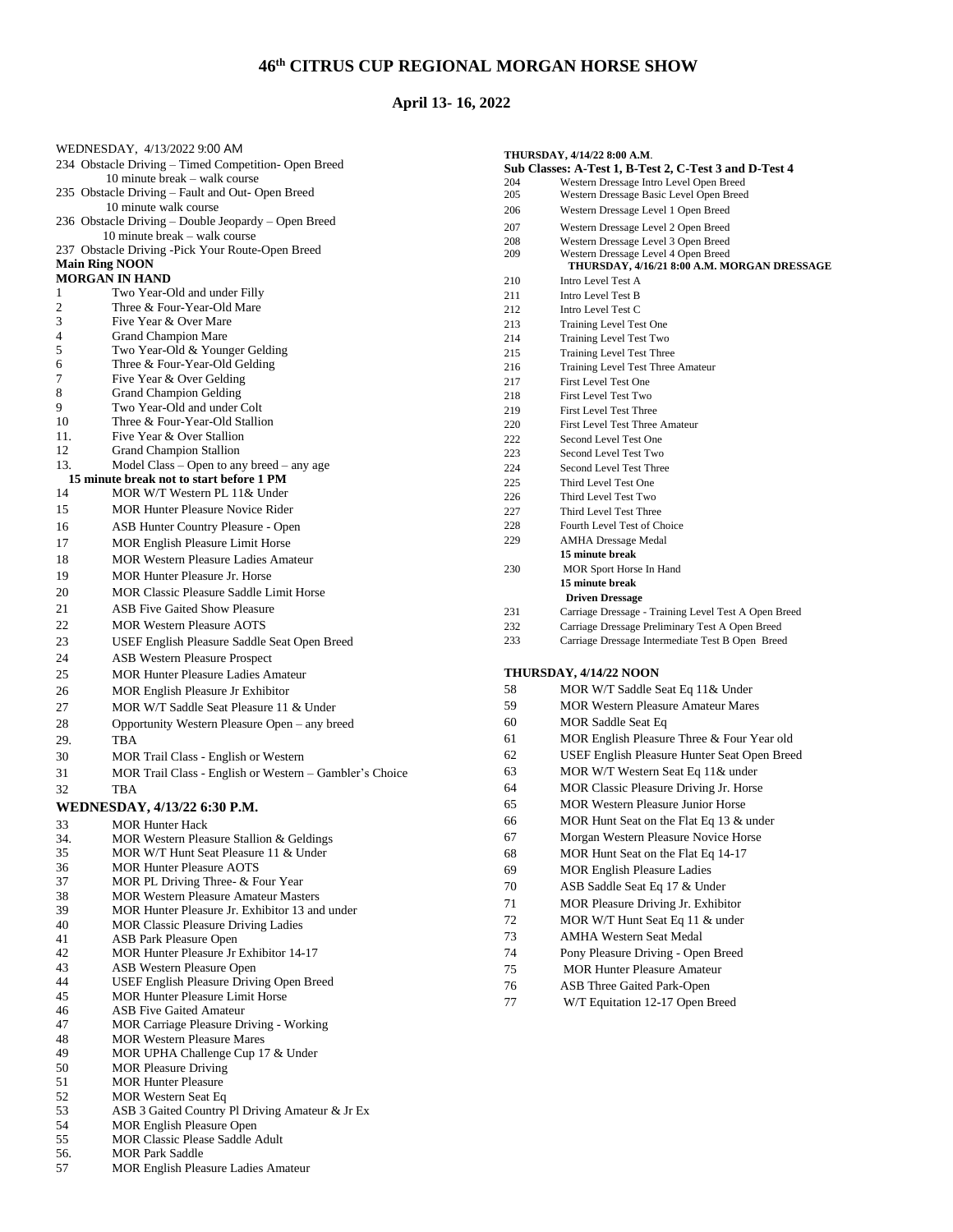# **th CITRUS CUP REGIONAL MORGAN HORSE SHOW**

# **April 13- 16, 2022**

|                              | WEDNESDAY, 4/13/2022 9:00 AM                                        |  |
|------------------------------|---------------------------------------------------------------------|--|
|                              | 234 Obstacle Driving - Timed Competition- Open Breed                |  |
|                              | 10 minute break - walk course                                       |  |
|                              | 235 Obstacle Driving – Fault and Out- Open Breed                    |  |
|                              | 10 minute walk course                                               |  |
|                              | 236 Obstacle Driving - Double Jeopardy - Open Breed                 |  |
|                              | 10 minute break – walk course                                       |  |
|                              | 237 Obstacle Driving -Pick Your Route-Open Breed                    |  |
| <b>Main Ring NOON</b>        |                                                                     |  |
|                              | <b>MORGAN IN HAND</b>                                               |  |
| 1                            | Two Year-Old and under Filly                                        |  |
| 2<br>3                       | Three & Four-Year-Old Mare<br>Five Year & Over Mare                 |  |
| 4                            | <b>Grand Champion Mare</b>                                          |  |
| 5                            | Two Year-Old & Younger Gelding                                      |  |
| 6                            | Three & Four-Year-Old Gelding                                       |  |
| 7                            | Five Year & Over Gelding                                            |  |
| 8                            | <b>Grand Champion Gelding</b>                                       |  |
| 9                            | Two Year-Old and under Colt                                         |  |
| 10                           | Three & Four-Year-Old Stallion                                      |  |
| 11.                          | Five Year & Over Stallion                                           |  |
| 12                           | <b>Grand Champion Stallion</b>                                      |  |
| 13.                          | Model Class $-$ Open to any breed $-$ any age                       |  |
|                              | 15 minute break not to start before 1 PM                            |  |
| 14                           | MOR W/T Western PL 11& Under                                        |  |
| 15                           | <b>MOR Hunter Pleasure Novice Rider</b>                             |  |
| 16                           | <b>ASB Hunter Country Pleasure - Open</b>                           |  |
| 17                           | <b>MOR English Pleasure Limit Horse</b>                             |  |
|                              | <b>MOR Western Pleasure Ladies Amateur</b>                          |  |
| 18                           |                                                                     |  |
| 19                           | <b>MOR Hunter Pleasure Jr. Horse</b>                                |  |
| 20                           | <b>MOR Classic Pleasure Saddle Limit Horse</b>                      |  |
| 21                           | <b>ASB Five Gaited Show Pleasure</b>                                |  |
| 22                           | <b>MOR Western Pleasure AOTS</b>                                    |  |
| 23                           | USEF English Pleasure Saddle Seat Open Breed                        |  |
| 24                           | <b>ASB Western Pleasure Prospect</b>                                |  |
| 25                           | <b>MOR Hunter Pleasure Ladies Amateur</b>                           |  |
| 26                           | <b>MOR English Pleasure Jr Exhibitor</b>                            |  |
| 27                           | MOR W/T Saddle Seat Pleasure 11 & Under                             |  |
|                              |                                                                     |  |
| 28                           | Opportunity Western Pleasure Open - any breed                       |  |
| 29.                          | <b>TBA</b>                                                          |  |
| 30                           | MOR Trail Class - English or Western                                |  |
| 31                           | MOR Trail Class - English or Western - Gambler's Choice             |  |
| 32                           | TBA                                                                 |  |
| WEDNESDAY, 4/13/22 6:30 P.M. |                                                                     |  |
| 33                           | <b>MOR Hunter Hack</b>                                              |  |
| 34.                          | MOR Western Pleasure Stallion & Geldings                            |  |
| 35                           | MOR W/T Hunt Seat Pleasure 11 & Under                               |  |
| 36                           | <b>MOR Hunter Pleasure AOTS</b>                                     |  |
| 37                           | MOR PL Driving Three- & Four Year                                   |  |
| 38                           | <b>MOR Western Pleasure Amateur Masters</b>                         |  |
| 39                           | MOR Hunter Pleasure Jr. Exhibitor 13 and under                      |  |
| 40                           | MOR Classic Pleasure Driving Ladies                                 |  |
| 41                           | <b>ASB Park Pleasure Open</b>                                       |  |
| 42                           | MOR Hunter Pleasure Jr Exhibitor 14-17                              |  |
| 43                           | ASB Western Pleasure Open                                           |  |
| 44                           | USEF English Pleasure Driving Open Breed                            |  |
| 45                           | <b>MOR Hunter Pleasure Limit Horse</b>                              |  |
| 46                           | <b>ASB Five Gaited Amateur</b>                                      |  |
| 47                           | MOR Carriage Pleasure Driving - Working                             |  |
| 48                           | <b>MOR Western Pleasure Mares</b>                                   |  |
| 49                           | MOR UPHA Challenge Cup 17 & Under                                   |  |
| 50                           | <b>MOR Pleasure Driving</b>                                         |  |
| 51                           | <b>MOR Hunter Pleasure</b>                                          |  |
| 52                           | MOR Western Seat Eq                                                 |  |
| 53                           | ASB 3 Gaited Country Pl Driving Amateur & Jr Ex                     |  |
| 54<br>55                     | MOR English Pleasure Open<br><b>MOR Classic Please Saddle Adult</b> |  |
| 56.                          | <b>MOR Park Saddle</b>                                              |  |
| 57                           | MOR English Pleasure Ladies Amateur                                 |  |
|                              |                                                                     |  |

| THURSDAY, 4/14/22 8:00 A.M.<br>Sub Classes: A-Test 1, B-Test 2, C-Test 3 and D-Test 4 |            |                                                                                    |
|---------------------------------------------------------------------------------------|------------|------------------------------------------------------------------------------------|
|                                                                                       | 204        | Western Dressage Intro Level Open Breed                                            |
|                                                                                       | 205        | Western Dressage Basic Level Open Breed                                            |
|                                                                                       | 206        | Western Dressage Level 1 Open Breed                                                |
|                                                                                       | 207        | Western Dressage Level 2 Open Breed                                                |
|                                                                                       | 208        | Western Dressage Level 3 Open Breed                                                |
|                                                                                       | 209        | Western Dressage Level 4 Open Breed<br>THURSDAY, 4/16/21 8:00 A.M. MORGAN DRESSAGE |
|                                                                                       | 210        | Intro Level Test A                                                                 |
|                                                                                       | 211        | Intro Level Test B                                                                 |
|                                                                                       | 212        | Intro Level Test C                                                                 |
|                                                                                       | 213        | <b>Training Level Test One</b>                                                     |
|                                                                                       | 214        | <b>Training Level Test Two</b>                                                     |
|                                                                                       | 215        | <b>Training Level Test Three</b>                                                   |
|                                                                                       | 216        | Training Level Test Three Amateur                                                  |
|                                                                                       | 217        | <b>First Level Test One</b>                                                        |
|                                                                                       | 218        | <b>First Level Test Two</b>                                                        |
|                                                                                       | 219        | <b>First Level Test Three</b>                                                      |
|                                                                                       | 220        | <b>First Level Test Three Amateur</b>                                              |
|                                                                                       | 222<br>223 | Second Level Test One<br>Second Level Test Two                                     |
|                                                                                       | 224        | Second Level Test Three                                                            |
|                                                                                       | 225        | Third Level Test One                                                               |
|                                                                                       | 226        | Third Level Test Two                                                               |
|                                                                                       | 227        | Third Level Test Three                                                             |
|                                                                                       | 228        | Fourth Level Test of Choice                                                        |
|                                                                                       | 229        | <b>AMHA Dressage Medal</b>                                                         |
|                                                                                       |            | 15 minute break                                                                    |
|                                                                                       | 230        | MOR Sport Horse In Hand                                                            |
|                                                                                       |            | 15 minute break                                                                    |
|                                                                                       |            | <b>Driven Dressage</b>                                                             |
|                                                                                       | 231        | Carriage Dressage - Training Level Test A Open Breed                               |
|                                                                                       | 232        | Carriage Dressage Preliminary Test A Open Breed                                    |
|                                                                                       | 233        | Carriage Dressage Intermediate Test B Open Breed                                   |
| <b>THURSDAY, 4/14/22 NOON</b>                                                         |            |                                                                                    |
|                                                                                       | 58         | MOR W/T Saddle Seat Eq 11& Under                                                   |
|                                                                                       | 59         | <b>MOR Western Pleasure Amateur Mares</b>                                          |
|                                                                                       | 60         | <b>MOR Saddle Seat Eq</b>                                                          |
|                                                                                       | 61         | MOR English Pleasure Three & Four Year old                                         |
|                                                                                       | 62         | USEF English Pleasure Hunter Seat Open Breed                                       |
|                                                                                       | 63         | MOR W/T Western Seat Eq 11& under                                                  |
|                                                                                       | 64         | <b>MOR Classic Pleasure Driving Jr. Horse</b>                                      |
|                                                                                       | 65         | <b>MOR Western Pleasure Junior Horse</b>                                           |
|                                                                                       | 66         | MOR Hunt Seat on the Flat Eq 13 & under                                            |
|                                                                                       | 67         | Morgan Western Pleasure Novice Horse                                               |
|                                                                                       |            |                                                                                    |
|                                                                                       | 68         | MOR Hunt Seat on the Flat Eq 14-17                                                 |
|                                                                                       | 69         | <b>MOR English Pleasure Ladies</b>                                                 |
|                                                                                       | 70         | ASB Saddle Seat Eq 17 & Under                                                      |
|                                                                                       | 71         | MOR Pleasure Driving Jr. Exhibitor                                                 |
|                                                                                       | 72         | MOR W/T Hunt Seat Eq 11 & under                                                    |
|                                                                                       | 73         | <b>AMHA Western Seat Medal</b>                                                     |
|                                                                                       | 74         | Pony Pleasure Driving - Open Breed                                                 |
|                                                                                       | 75         | <b>MOR Hunter Pleasure Amateur</b>                                                 |
|                                                                                       | 76         | ASB Three Gaited Park-Open                                                         |
|                                                                                       |            | W/T Equitation 12-17 Open Breed                                                    |
|                                                                                       | 77         |                                                                                    |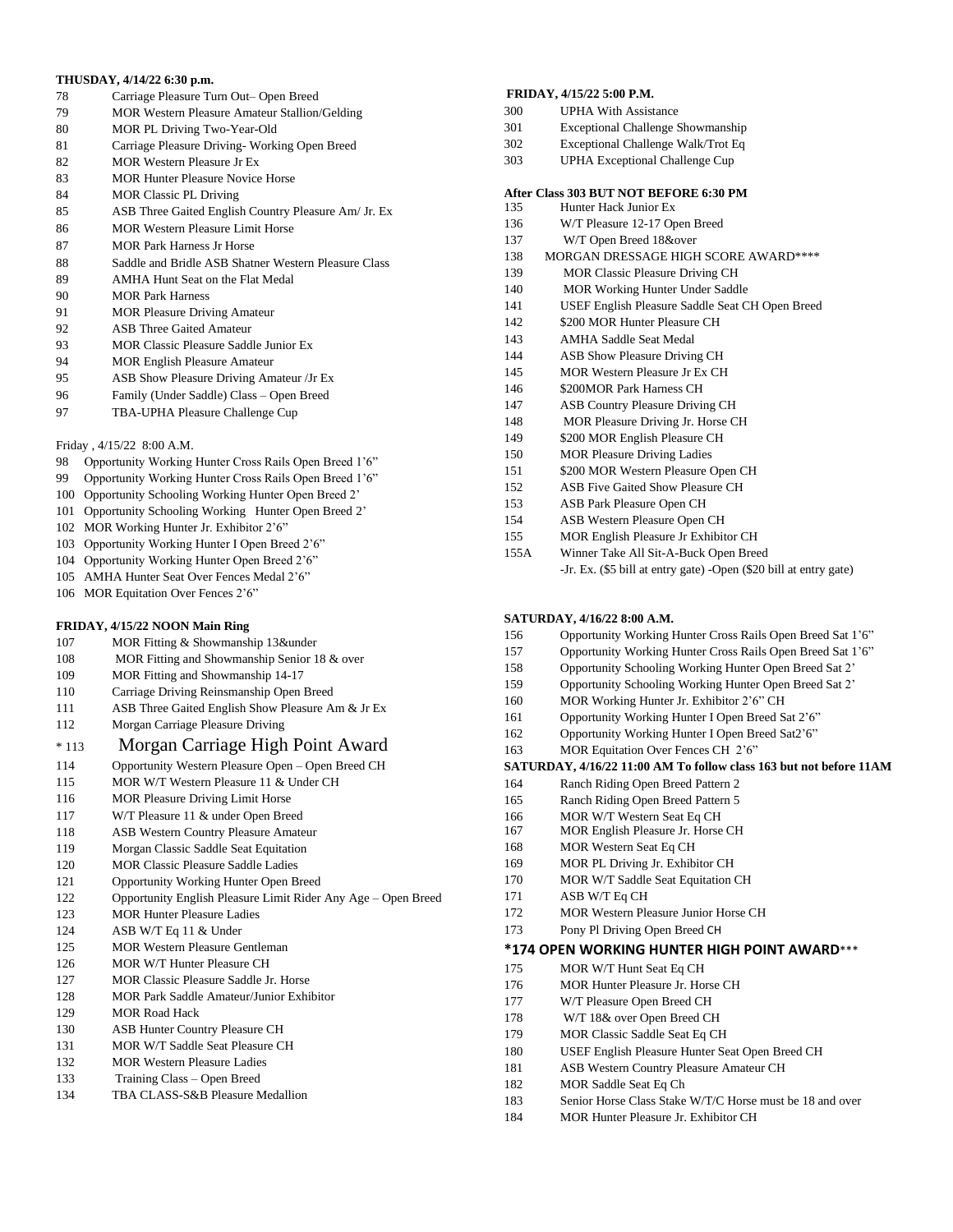#### **THUSDAY, 4/14/22 6:30 p.m.**

- Carriage Pleasure Turn Out– Open Breed
- MOR Western Pleasure Amateur Stallion/Gelding
- MOR PL Driving Two-Year-Old
- Carriage Pleasure Driving- Working Open Breed
- MOR Western Pleasure Jr Ex
- 83 MOR Hunter Pleasure Novice Horse
- MOR Classic PL Driving
- ASB Three Gaited English Country Pleasure Am/ Jr. Ex
- MOR Western Pleasure Limit Horse
- MOR Park Harness Jr Horse
- 88 Saddle and Bridle ASB Shatner Western Pleasure Class
- AMHA Hunt Seat on the Flat Medal
- MOR Park Harness
- MOR Pleasure Driving Amateur
- ASB Three Gaited Amateur
- MOR Classic Pleasure Saddle Junior Ex
- MOR English Pleasure Amateur
- ASB Show Pleasure Driving Amateur /Jr Ex
- Family (Under Saddle) Class Open Breed
- 97 TBA-UPHA Pleasure Challenge Cup

### Friday , 4/15/22 8:00 A.M.

- 98 Opportunity Working Hunter Cross Rails Open Breed 1'6"
- Opportunity Working Hunter Cross Rails Open Breed 1'6"
- Opportunity Schooling Working Hunter Open Breed 2'
- Opportunity Schooling Working Hunter Open Breed 2'
- MOR Working Hunter Jr. Exhibitor 2'6"
- Opportunity Working Hunter I Open Breed 2'6"
- Opportunity Working Hunter Open Breed 2'6"
- AMHA Hunter Seat Over Fences Medal 2'6"
- MOR Equitation Over Fences 2'6"

# **FRIDAY, 4/15/22 NOON Main Ring**

- MOR Fitting & Showmanship 13&under
- MOR Fitting and Showmanship Senior 18 & over
- MOR Fitting and Showmanship 14-17
- Carriage Driving Reinsmanship Open Breed
- 111 ASB Three Gaited English Show Pleasure Am & Jr Ex
- Morgan Carriage Pleasure Driving

# \* <sup>113</sup>Morgan Carriage High Point Award

- Opportunity Western Pleasure Open Open Breed CH
- MOR W/T Western Pleasure 11 & Under CH
- MOR Pleasure Driving Limit Horse
- W/T Pleasure 11 & under Open Breed
- ASB Western Country Pleasure Amateur
- Morgan Classic Saddle Seat Equitation
- MOR Classic Pleasure Saddle Ladies
- Opportunity Working Hunter Open Breed
- Opportunity English Pleasure Limit Rider Any Age Open Breed
- MOR Hunter Pleasure Ladies
- ASB W/T Eq 11 & Under
- MOR Western Pleasure Gentleman
- MOR W/T Hunter Pleasure CH
- MOR Classic Pleasure Saddle Jr. Horse
- MOR Park Saddle Amateur/Junior Exhibitor
- MOR Road Hack
- ASB Hunter Country Pleasure CH
- MOR W/T Saddle Seat Pleasure CH
- MOR Western Pleasure Ladies
- Training Class Open Breed
- TBA CLASS-S&B Pleasure Medallion

#### **FRIDAY, 4/15/22 5:00 P.M.**

- UPHA With Assistance
- Exceptional Challenge Showmanship
- Exceptional Challenge Walk/Trot Eq
- UPHA Exceptional Challenge Cup

#### **After Class 303 BUT NOT BEFORE 6:30 PM**

- Hunter Hack Junior Ex
- 136 W/T Pleasure 12-17 Open Breed
- W/T Open Breed 18&over
- 138 MORGAN DRESSAGE HIGH SCORE AWARD\*\*\*\*
- MOR Classic Pleasure Driving CH
- MOR Working Hunter Under Saddle
- USEF English Pleasure Saddle Seat CH Open Breed
- \$200 MOR Hunter Pleasure CH
- AMHA Saddle Seat Medal
- ASB Show Pleasure Driving CH
- MOR Western Pleasure Jr Ex CH
- 146 \$200MOR Park Harness CH
- ASB Country Pleasure Driving CH
- MOR Pleasure Driving Jr. Horse CH
- \$200 MOR English Pleasure CH
- MOR Pleasure Driving Ladies
- 151 \$200 MOR Western Pleasure Open CH
- ASB Five Gaited Show Pleasure CH
- ASB Park Pleasure Open CH
- ASB Western Pleasure Open CH
- MOR English Pleasure Jr Exhibitor CH
- 155A Winner Take All Sit-A-Buck Open Breed -Jr. Ex. (\$5 bill at entry gate) -Open (\$20 bill at entry gate)

#### **SATURDAY, 4/16/22 8:00 A.M.**

- Opportunity Working Hunter Cross Rails Open Breed Sat 1'6"
- Opportunity Working Hunter Cross Rails Open Breed Sat 1'6"
- Opportunity Schooling Working Hunter Open Breed Sat 2'
- Opportunity Schooling Working Hunter Open Breed Sat 2'
- MOR Working Hunter Jr. Exhibitor 2'6" CH
- Opportunity Working Hunter I Open Breed Sat 2'6"
- Opportunity Working Hunter I Open Breed Sat2'6"
- 163 MOR Equitation Over Fences CH 2'6"

#### **SATURDAY, 4/16/22 11:00 AM To follow class 163 but not before 11AM**

**\*174 OPEN WORKING HUNTER HIGH POINT AWARD**\*\*\*

 USEF English Pleasure Hunter Seat Open Breed CH ASB Western Country Pleasure Amateur CH

Senior Horse Class Stake W/T/C Horse must be 18 and over

- Ranch Riding Open Breed Pattern 2
- Ranch Riding Open Breed Pattern 5 MOR W/T Western Seat Eq CH

171 ASB W/T Eq CH

 MOR English Pleasure Jr. Horse CH MOR Western Seat Eq CH MOR PL Driving Jr. Exhibitor CH MOR W/T Saddle Seat Equitation CH

 MOR Western Pleasure Junior Horse CH Pony Pl Driving Open Breed CH

 MOR W/T Hunt Seat Eq CH MOR Hunter Pleasure Jr. Horse CH W/T Pleasure Open Breed CH W/T 18& over Open Breed CH MOR Classic Saddle Seat Eq CH

MOR Saddle Seat Eq Ch

MOR Hunter Pleasure Jr. Exhibitor CH